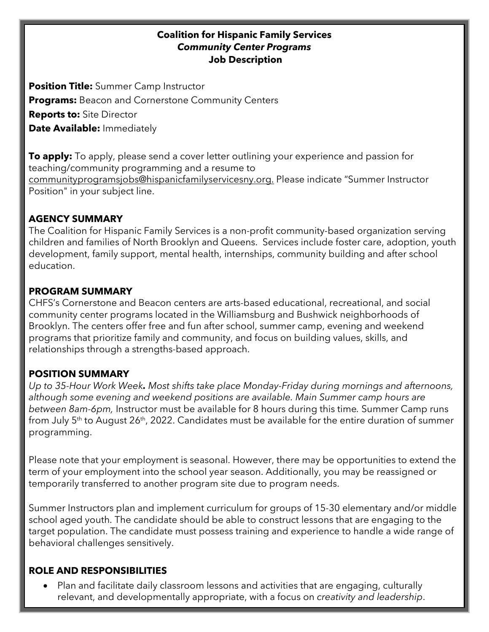#### **Coalition for Hispanic Family Services** *Community Center Programs* **Job Description**

**Position Title:** Summer Camp Instructor **Programs:** Beacon and Cornerstone Community Centers **Reports to:** Site Director **Date Available:** Immediately

**To apply:** To apply, please send a cover letter outlining your experience and passion for teaching/community programming and a resume to communityprogramsjobs@hispanicfamilyservicesny.org. Please indicate "Summer Instructor Position" in your subject line.

### **AGENCY SUMMARY**

The Coalition for Hispanic Family Services is a non-profit community-based organization serving children and families of North Brooklyn and Queens. Services include foster care, adoption, youth development, family support, mental health, internships, community building and after school education.

### **PROGRAM SUMMARY**

CHFS's Cornerstone and Beacon centers are arts-based educational, recreational, and social community center programs located in the Williamsburg and Bushwick neighborhoods of Brooklyn. The centers offer free and fun after school, summer camp, evening and weekend programs that prioritize family and community, and focus on building values, skills, and relationships through a strengths-based approach.

## **POSITION SUMMARY**

*Up to 35-Hour Work Week. Most shifts take place Monday-Friday during mornings and afternoons, although some evening and weekend positions are available. Main Summer camp hours are between 8am-6pm,* Instructor must be available for 8 hours during this time*.* Summer Camp runs from July  $5<sup>th</sup>$  to August 26<sup>th</sup>, 2022. Candidates must be available for the entire duration of summer programming.

Please note that your employment is seasonal. However, there may be opportunities to extend the term of your employment into the school year season. Additionally, you may be reassigned or temporarily transferred to another program site due to program needs.

Summer Instructors plan and implement curriculum for groups of 15-30 elementary and/or middle school aged youth. The candidate should be able to construct lessons that are engaging to the target population. The candidate must possess training and experience to handle a wide range of behavioral challenges sensitively.

## **ROLE AND RESPONSIBILITIES**

• Plan and facilitate daily classroom lessons and activities that are engaging, culturally relevant, and developmentally appropriate, with a focus on *creativity and leadership*.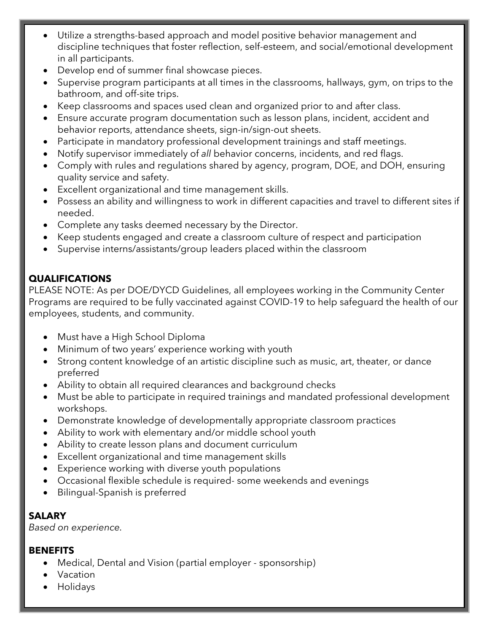- Utilize a strengths-based approach and model positive behavior management and discipline techniques that foster reflection, self-esteem, and social/emotional development in all participants.
- Develop end of summer final showcase pieces.
- Supervise program participants at all times in the classrooms, hallways, gym, on trips to the bathroom, and off-site trips.
- Keep classrooms and spaces used clean and organized prior to and after class.
- Ensure accurate program documentation such as lesson plans, incident, accident and behavior reports, attendance sheets, sign-in/sign-out sheets.
- Participate in mandatory professional development trainings and staff meetings.
- Notify supervisor immediately of *all* behavior concerns, incidents, and red flags.
- Comply with rules and regulations shared by agency, program, DOE, and DOH, ensuring quality service and safety.
- Excellent organizational and time management skills.
- Possess an ability and willingness to work in different capacities and travel to different sites if needed.
- Complete any tasks deemed necessary by the Director.
- Keep students engaged and create a classroom culture of respect and participation
- Supervise interns/assistants/group leaders placed within the classroom

# **QUALIFICATIONS**

PLEASE NOTE: As per DOE/DYCD Guidelines, all employees working in the Community Center Programs are required to be fully vaccinated against COVID-19 to help safeguard the health of our employees, students, and community.

- Must have a High School Diploma
- Minimum of two years' experience working with youth
- Strong content knowledge of an artistic discipline such as music, art, theater, or dance preferred
- Ability to obtain all required clearances and background checks
- Must be able to participate in required trainings and mandated professional development workshops.
- Demonstrate knowledge of developmentally appropriate classroom practices
- Ability to work with elementary and/or middle school youth
- Ability to create lesson plans and document curriculum
- Excellent organizational and time management skills
- Experience working with diverse youth populations
- Occasional flexible schedule is required- some weekends and evenings
- Bilingual-Spanish is preferred

# **SALARY**

*Based on experience.*

## **BENEFITS**

- Medical, Dental and Vision (partial employer sponsorship)
- Vacation
- Holidays